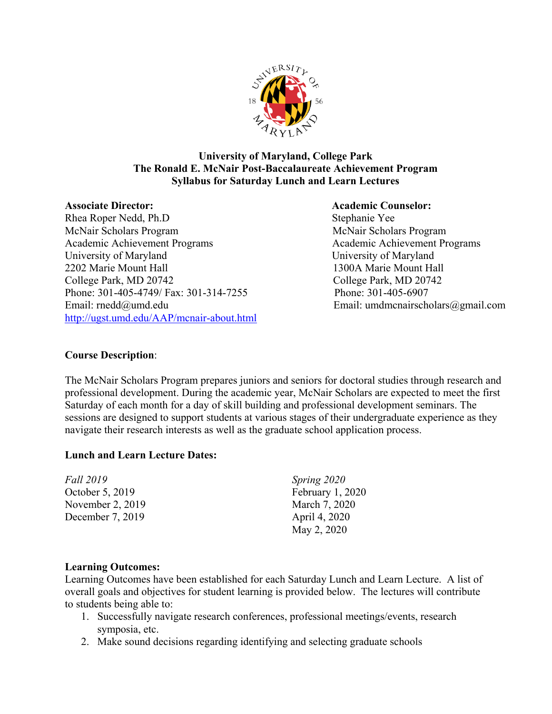

### **University of Maryland, College Park The Ronald E. McNair Post-Baccalaureate Achievement Program Syllabus for Saturday Lunch and Learn Lectures**

Rhea Roper Nedd, Ph.D Stephanie Yee McNair Scholars Program McNair Scholars Program Academic Achievement Programs Academic Achievement Programs University of Maryland University of Maryland 2202 Marie Mount Hall 1300A Marie Mount Hall College Park, MD 20742 College Park, MD 20742 Phone: 301-405-4749/ Fax: 301-314-7255 Phone: 301-405-6907 Email: [rnedd@umd.edu](mailto:rnedd@umd.edu) Email: umdmcnairscholars@gmail.com <http://ugst.umd.edu/AAP/mcnair-about.html>

#### **Associate Director: Academic Counselor:**

#### **Course Description**:

The McNair Scholars Program prepares juniors and seniors for doctoral studies through research and professional development. During the academic year, McNair Scholars are expected to meet the first Saturday of each month for a day of skill building and professional development seminars. The sessions are designed to support students at various stages of their undergraduate experience as they navigate their research interests as well as the graduate school application process.

#### **Lunch and Learn Lecture Dates:**

| <i>Fall</i> 2019 | Spring 2020      |
|------------------|------------------|
| October 5, 2019  | February 1, 2020 |
| November 2, 2019 | March 7, 2020    |
| December 7, 2019 | April 4, 2020    |
|                  | May 2, 2020      |

#### **Learning Outcomes:**

Learning Outcomes have been established for each Saturday Lunch and Learn Lecture. A list of overall goals and objectives for student learning is provided below. The lectures will contribute to students being able to:

- 1. Successfully navigate research conferences, professional meetings/events, research symposia, etc.
- 2. Make sound decisions regarding identifying and selecting graduate schools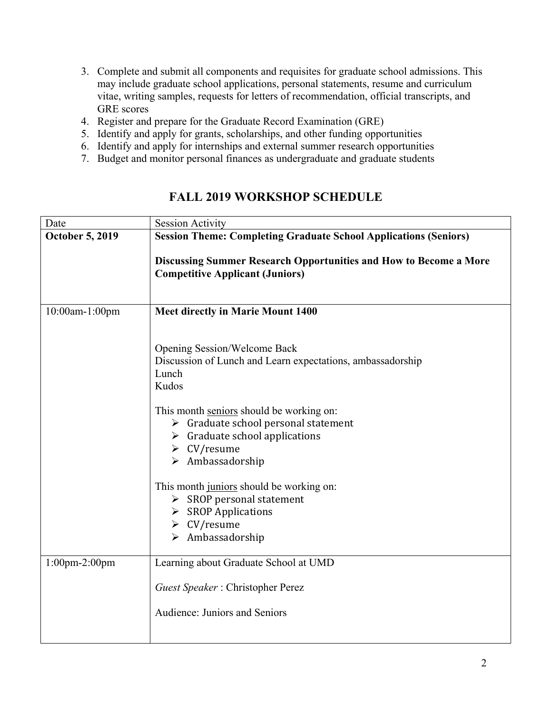- 3. Complete and submit all components and requisites for graduate school admissions. This may include graduate school applications, personal statements, resume and curriculum vitae, writing samples, requests for letters of recommendation, official transcripts, and GRE scores
- 4. Register and prepare for the Graduate Record Examination (GRE)
- 5. Identify and apply for grants, scholarships, and other funding opportunities
- 6. Identify and apply for internships and external summer research opportunities
- 7. Budget and monitor personal finances as undergraduate and graduate students

| Date                   | <b>Session Activity</b>                                                                                                                                                                                                                                                                                                                                                                                                                                                                                                          |
|------------------------|----------------------------------------------------------------------------------------------------------------------------------------------------------------------------------------------------------------------------------------------------------------------------------------------------------------------------------------------------------------------------------------------------------------------------------------------------------------------------------------------------------------------------------|
| <b>October 5, 2019</b> | <b>Session Theme: Completing Graduate School Applications (Seniors)</b>                                                                                                                                                                                                                                                                                                                                                                                                                                                          |
|                        | Discussing Summer Research Opportunities and How to Become a More<br><b>Competitive Applicant (Juniors)</b>                                                                                                                                                                                                                                                                                                                                                                                                                      |
| 10:00am-1:00pm         | <b>Meet directly in Marie Mount 1400</b>                                                                                                                                                                                                                                                                                                                                                                                                                                                                                         |
|                        | Opening Session/Welcome Back<br>Discussion of Lunch and Learn expectations, ambassadorship<br>Lunch<br>Kudos<br>This month seniors should be working on:<br>$\triangleright$ Graduate school personal statement<br>$\triangleright$ Graduate school applications<br>$\triangleright$ CV/resume<br>$\triangleright$ Ambassadorship<br>This month juniors should be working on:<br>$\triangleright$ SROP personal statement<br>$\triangleright$ SROP Applications<br>$\triangleright$ CV/resume<br>$\triangleright$ Ambassadorship |
| $1:00$ pm-2:00pm       | Learning about Graduate School at UMD                                                                                                                                                                                                                                                                                                                                                                                                                                                                                            |
|                        | Guest Speaker: Christopher Perez                                                                                                                                                                                                                                                                                                                                                                                                                                                                                                 |
|                        | Audience: Juniors and Seniors                                                                                                                                                                                                                                                                                                                                                                                                                                                                                                    |

## **FALL 2019 WORKSHOP SCHEDULE**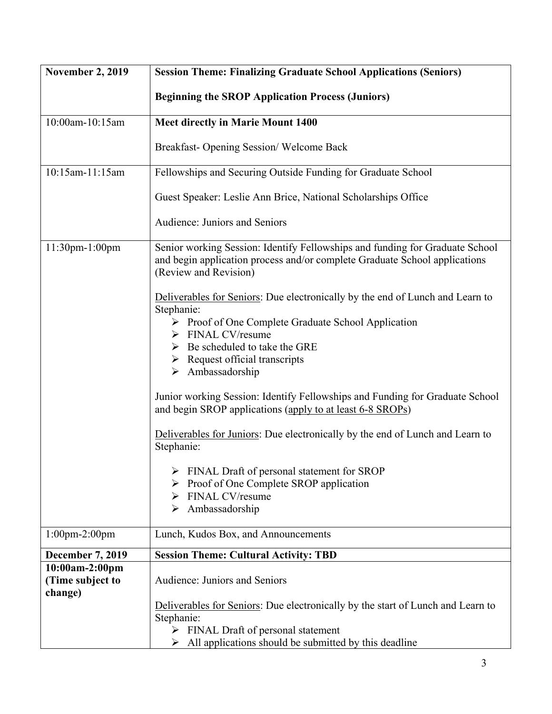| <b>November 2, 2019</b>                       | <b>Session Theme: Finalizing Graduate School Applications (Seniors)</b>                                                                                                                                                                                                                                      |
|-----------------------------------------------|--------------------------------------------------------------------------------------------------------------------------------------------------------------------------------------------------------------------------------------------------------------------------------------------------------------|
|                                               | <b>Beginning the SROP Application Process (Juniors)</b>                                                                                                                                                                                                                                                      |
| 10:00am-10:15am                               | <b>Meet directly in Marie Mount 1400</b>                                                                                                                                                                                                                                                                     |
|                                               | Breakfast-Opening Session/Welcome Back                                                                                                                                                                                                                                                                       |
| 10:15am-11:15am                               | Fellowships and Securing Outside Funding for Graduate School                                                                                                                                                                                                                                                 |
|                                               | Guest Speaker: Leslie Ann Brice, National Scholarships Office                                                                                                                                                                                                                                                |
|                                               | Audience: Juniors and Seniors                                                                                                                                                                                                                                                                                |
| 11:30pm-1:00pm                                | Senior working Session: Identify Fellowships and funding for Graduate School<br>and begin application process and/or complete Graduate School applications<br>(Review and Revision)                                                                                                                          |
|                                               | Deliverables for Seniors: Due electronically by the end of Lunch and Learn to<br>Stephanie:<br>▶ Proof of One Complete Graduate School Application<br>$\triangleright$ FINAL CV/resume<br>$\triangleright$ Be scheduled to take the GRE<br>$\triangleright$ Request official transcripts<br>> Ambassadorship |
|                                               | Junior working Session: Identify Fellowships and Funding for Graduate School<br>and begin SROP applications (apply to at least 6-8 SROPs)                                                                                                                                                                    |
|                                               | Deliverables for Juniors: Due electronically by the end of Lunch and Learn to<br>Stephanie:                                                                                                                                                                                                                  |
|                                               | $\triangleright$ FINAL Draft of personal statement for SROP<br>> Proof of One Complete SROP application<br>$\triangleright$ FINAL CV/resume<br>$\triangleright$ Ambassadorship                                                                                                                               |
| $1:00$ pm- $2:00$ pm                          | Lunch, Kudos Box, and Announcements                                                                                                                                                                                                                                                                          |
| <b>December 7, 2019</b>                       | <b>Session Theme: Cultural Activity: TBD</b>                                                                                                                                                                                                                                                                 |
| 10:00am-2:00pm<br>(Time subject to<br>change) | Audience: Juniors and Seniors                                                                                                                                                                                                                                                                                |
|                                               | Deliverables for Seniors: Due electronically by the start of Lunch and Learn to<br>Stephanie:<br>$\triangleright$ FINAL Draft of personal statement<br>$\triangleright$ All applications should be submitted by this deadline                                                                                |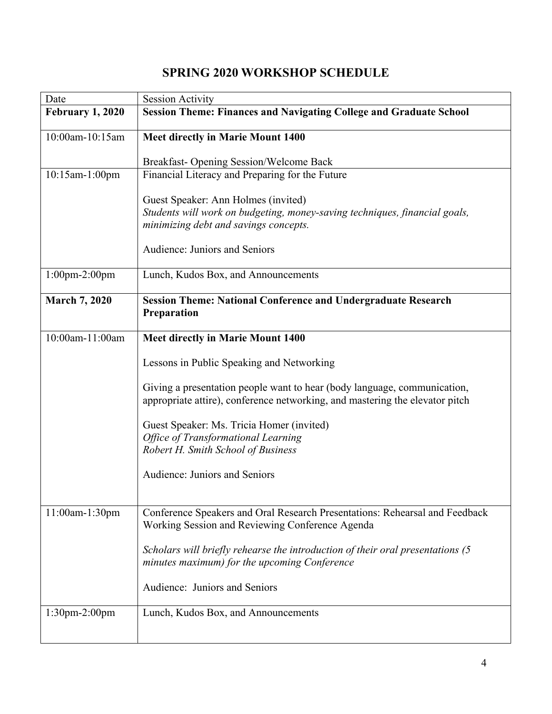# **SPRING 2020 WORKSHOP SCHEDULE**

| Date                    | <b>Session Activity</b>                                                                                                                                  |
|-------------------------|----------------------------------------------------------------------------------------------------------------------------------------------------------|
| <b>February 1, 2020</b> | <b>Session Theme: Finances and Navigating College and Graduate School</b>                                                                                |
| 10:00am-10:15am         | <b>Meet directly in Marie Mount 1400</b>                                                                                                                 |
|                         | Breakfast-Opening Session/Welcome Back                                                                                                                   |
| 10:15am-1:00pm          | Financial Literacy and Preparing for the Future                                                                                                          |
|                         |                                                                                                                                                          |
|                         | Guest Speaker: Ann Holmes (invited)<br>Students will work on budgeting, money-saving techniques, financial goals,                                        |
|                         | minimizing debt and savings concepts.                                                                                                                    |
|                         | Audience: Juniors and Seniors                                                                                                                            |
| $1:00$ pm-2:00pm        | Lunch, Kudos Box, and Announcements                                                                                                                      |
| <b>March 7, 2020</b>    | <b>Session Theme: National Conference and Undergraduate Research</b><br>Preparation                                                                      |
| 10:00am-11:00am         | <b>Meet directly in Marie Mount 1400</b>                                                                                                                 |
|                         | Lessons in Public Speaking and Networking                                                                                                                |
|                         | Giving a presentation people want to hear (body language, communication,<br>appropriate attire), conference networking, and mastering the elevator pitch |
|                         | Guest Speaker: Ms. Tricia Homer (invited)                                                                                                                |
|                         | <b>Office of Transformational Learning</b>                                                                                                               |
|                         | Robert H. Smith School of Business                                                                                                                       |
|                         | Audience: Juniors and Seniors                                                                                                                            |
|                         |                                                                                                                                                          |
| 11:00am-1:30pm          | Conference Speakers and Oral Research Presentations: Rehearsal and Feedback<br>Working Session and Reviewing Conference Agenda                           |
|                         | Scholars will briefly rehearse the introduction of their oral presentations (5<br>minutes maximum) for the upcoming Conference                           |
|                         | Audience: Juniors and Seniors                                                                                                                            |
| 1:30pm-2:00pm           | Lunch, Kudos Box, and Announcements                                                                                                                      |
|                         |                                                                                                                                                          |